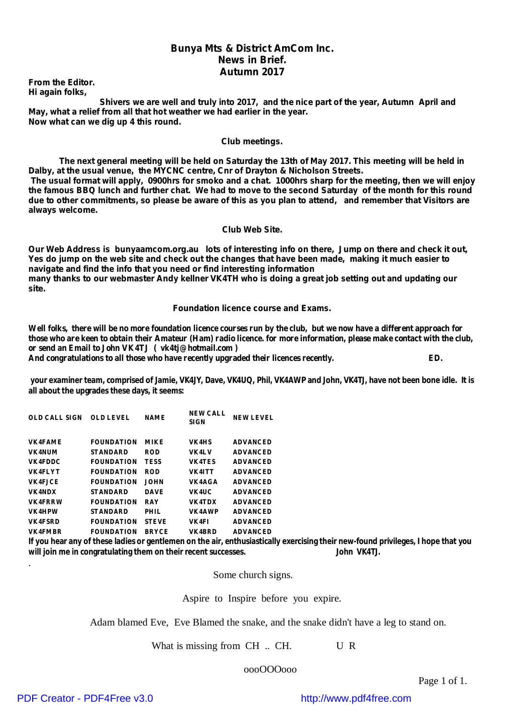#### *Bunya Mts & District AmCom Inc. News in Brief. Autumn 2017*

*From the Editor. Hi again folks,*

*Shivers we are well and truly into 2017, and the nice part of the year, Autumn April and May, what a relief from all that hot weather we had earlier in the year. Now what can we dig up 4 this round.*

#### *Club meetings.*

The next general meeting will be held on Saturday the 13th of May 2017. This meeting will be held in *Dalby, at the usual venue, the MYCNC centre, Cnr of Drayton & Nicholson Streets.* The usual format will apply, 0900hrs for smoko and a chat. 1000hrs sharp for the meeting, then we will enjoy the famous BBQ lunch and further chat. We had to move to the second Saturday of the month for this round due to other commitments, so please be aware of this as you plan to attend, and remember that Visitors are *always welcome.*

#### *Club Web Site.*

Our Web Address is bunyaamcom.org.au lots of interesting info on there, Jump on there and check it out, Yes do jump on the web site and check out the changes that have been made, making it much easier to *navigate and find the info that you need or find interesting information* many thanks to our webmaster Andy kellner VK4TH who is doing a great job setting out and updating our *site.*

#### *Foundation licence course and Exams.*

Well folks, there will be no more foundation licence courses run by the club, but we now have a different approach for those who are keen to obtain their Amateur (Ham) radio licence. for more information, please make contact with the club, **or send an Email to John VK4TJ ( vk4tj@hotmail.com ) And congratulations to all those who have recently upgraded their licences recently. ED.**

your examiner team, comprised of Jamie, VK4JY, Dave, VK4UQ, Phil, VK4AWP and John, VK4TJ, have not been bone idle. It is **all about the upgrades these days, it seems:**

| <b>OLD CALL SIGN</b> | <b>OLD LEVEL</b>  | <b>NAME</b>  | <b>NEW CALL</b><br><b>SIGN</b> | <b>NEW LEVEL</b> |
|----------------------|-------------------|--------------|--------------------------------|------------------|
| <b>VK4FAME</b>       | <b>FOUNDATION</b> | <b>MIKE</b>  | VK4HS                          | <b>ADVANCED</b>  |
| <b>VK4NUM</b>        | <b>STANDARD</b>   | <b>ROD</b>   | VK4LV                          | <b>ADVANCED</b>  |
| <b>VK4FDDC</b>       | <b>FOUNDATION</b> | <b>TESS</b>  | VK4TES                         | <b>ADVANCED</b>  |
| <b>VK4FLYT</b>       | <b>FOUNDATION</b> | <b>ROD</b>   | VK4ITT                         | <b>ADVANCED</b>  |
| VK4F.ICE             | <b>FOUNDATION</b> | <b>JOHN</b>  | VK4AGA                         | <b>ADVANCED</b>  |
| VK4NDX               | <b>STANDARD</b>   | <b>DAVE</b>  | VK4UC                          | <b>ADVANCED</b>  |
| <b>VK4FRRW</b>       | <b>FOUNDATION</b> | RAY          | VK4TDX                         | <b>ADVANCED</b>  |
| VK4HPW               | <b>STANDARD</b>   | PHIL         | VK4AWP                         | <b>ADVANCED</b>  |
| <b>VK4FSRD</b>       | <b>FOUNDATION</b> | <b>STEVE</b> | VK4FI                          | <b>ADVANCED</b>  |
| <b>VK4FMBR</b>       | <b>FOUNDATION</b> | <b>BRYCE</b> | <b>VK4BRD</b>                  | <b>ADVANCED</b>  |

If you hear any of these ladies or gentlemen on the air, enthusiastically exercising their new-found privileges, I hope that you **will join me in congratulating them on their recent successes. John VK4TJ.**

Some church signs.

Aspire to Inspire before you expire.

Adam blamed Eve, Eve Blamed the snake, and the snake didn't have a leg to stand on.

What is missing from CH .. CH. U R

oooOOOooo

Page 1 of 1.

.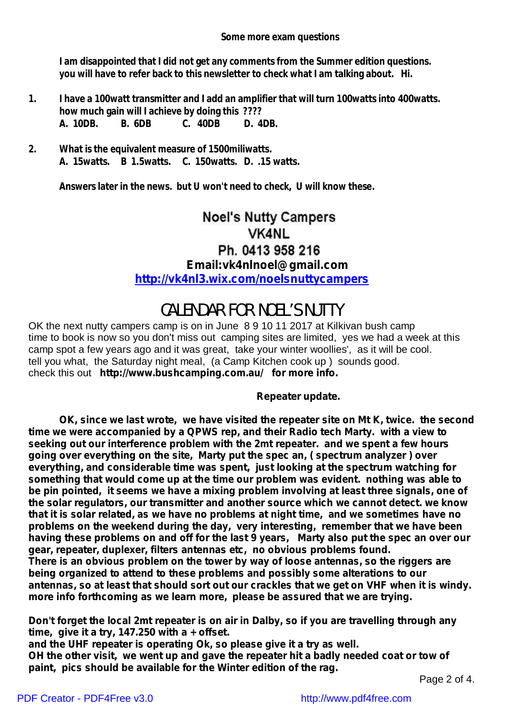**Some more exam questions**

**I am disappointed that I did not get any comments from the Summer edition questions. you will have to refer back to this newsletter to check what I am talking about. Hi.**

- **1. I have a 100watt transmitter and I add an amplifier that will turn 100watts into 400watts. how much gain will I achieve by doing this ???? A. 10DB. B. 6DB C. 40DB D. 4DB.**
- **2. What is the equivalent measure of 1500miliwatts. A. 15watts. B 1.5watts. C. 150watts. D. .15 watts.**

**Answers later in the news. but U won't need to check, U will know these.**

## **Noel's Nutty Campers VK4NL** Ph. 0413 958 216 **Email:vk4nlnoel@gmail.com <http://vk4nl3.wix.com/noelsnuttycampers>**

# CALENDAR FOR NOEL'S NUTTY

OK the next nutty campers camp is on in June 8 9 10 11 2017 at Kilkivan bush camp time to book is now so you don't miss out camping sites are limited, yes we had a week at this camp spot a few years ago and it was great, take your winter woollies', as it will be cool. tell you what, the Saturday night meal, (a Camp Kitchen cook up ) sounds good. check this out **[http://www.bushcamping.com.au/](http://www.bushcamping.com.au/for) for more info.**

## *Repeater update.*

*OK, since we last wrote, we have visited the repeater site on Mt K, twice. the second time we were accompanied by a QPWS rep, and their Radio tech Marty. with a view to seeking out our interference problem with the 2mt repeater. and we spent a few hours going over everything on the site, Marty put the spec an, ( spectrum analyzer ) over everything, and considerable time was spent, just looking at the spectrum watching for something that would come up at the time our problem was evident. nothing was able to be pin pointed, it seems we have a mixing problem involving at least three signals, one of the solar regulators, our transmitter and another source which we cannot detect. we know that it is solar related, as we have no problems at night time, and we sometimes have no problems on the weekend during the day, very interesting, remember that we have been having these problems on and off for the last 9 years, Marty also put the spec an over our gear, repeater, duplexer, filters antennas etc, no obvious problems found.*

*There is an obvious problem on the tower by way of loose antennas, so the riggers are being organized to attend to these problems and possibly some alterations to our* antennas, so at least that should sort out our crackles that we get on VHF when it is windy. *more info forthcoming as we learn more, please be assured that we are trying.*

*Don't forget the local 2mt repeater is on air in Dalby, so if you are travelling through any time, give it a try, 147.250 with a + offset.*

*and the UHF repeater is operating Ok, so please give it a try as well. OH the other visit, we went up and gave the repeater hit a badly needed coat or tow of paint, pics should be available for the Winter edition of the rag.*

Page 2 of 4.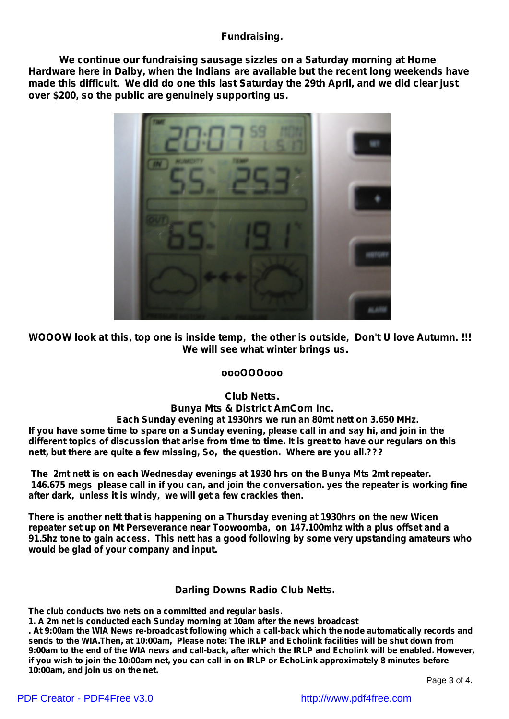## **Fundraising.**

**We continue our fundraising sausage sizzles on a Saturday morning at Home Hardware here in Dalby, when the Indians are available but the recent long weekends have made this difficult. We did do one this last Saturday the 29th April, and we did clear just over \$200, so the public are genuinely supporting us.**



**WOOOW look at this, top one is inside temp, the other is outside, Don't U love Autumn. !!! We will see what winter brings us.**

## **oooOOOooo**

**Club Netts.**

**Bunya Mts & District AmCom Inc.** *Each Sunday evening at 1930hrs we run an 80mt nett on 3.650 MHz.* If you have some time to spare on a Sunday evening, please call in and say hi, and join in the different topics of discussion that arise from time to time. It is great to have our regulars on this *nett, but there are quite a few missing, So, the question. Where are you all.???*

*The 2mt nett is on each Wednesday evenings at 1930 hrs on the Bunya Mts 2mt repeater.* 146.675 megs please call in if you can, and join the conversation. yes the repeater is working fine *after dark, unless it is windy, we will get a few crackles then.*

*There is another nett that is happening on a Thursday evening at 1930hrs on the new Wicen repeater set up on Mt Perseverance near Toowoomba, on 147.100mhz with a plus offset and a 91.5hz tone to gain access. This nett has a good following by some very upstanding amateurs who would be glad of your company and input.*

## *Darling Downs Radio Club Netts.*

**The club conducts two nets on a committed and regular basis.**

**1. A 2m net is conducted each Sunday morning at 10am after the news broadcast**

. At 9:00am the WIA News re-broadcast following which a call-back which the node automatically records and sends to the WIA. Then, at 10:00am, Please note: The IRLP and Echolink facilities will be shut down from 9:00am to the end of the WIA news and call-back, after which the IRLP and Echolink will be enabled. However, if you wish to join the 10:00am net, you can call in on IRLP or EchoLink approximately 8 minutes before **10:00am, and join us on the net.**

Page 3 of 4.